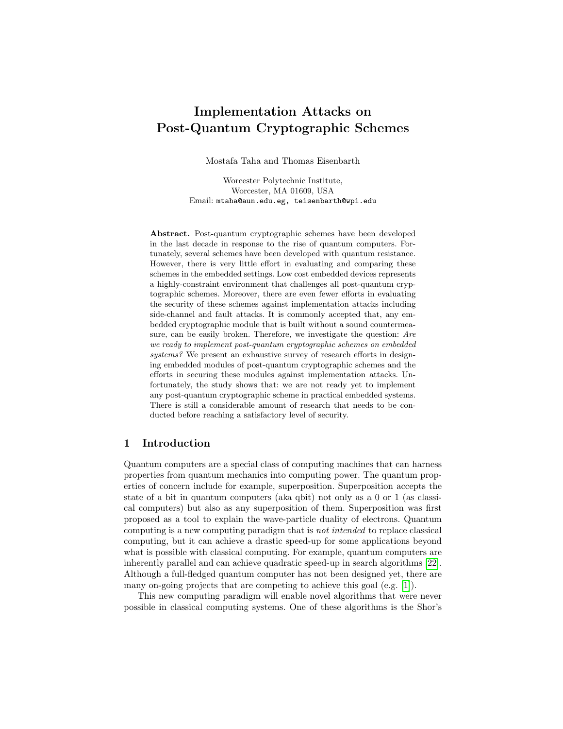# Implementation Attacks on Post-Quantum Cryptographic Schemes

Mostafa Taha and Thomas Eisenbarth

Worcester Polytechnic Institute, Worcester, MA 01609, USA Email: mtaha@aun.edu.eg, teisenbarth@wpi.edu

Abstract. Post-quantum cryptographic schemes have been developed in the last decade in response to the rise of quantum computers. Fortunately, several schemes have been developed with quantum resistance. However, there is very little effort in evaluating and comparing these schemes in the embedded settings. Low cost embedded devices represents a highly-constraint environment that challenges all post-quantum cryptographic schemes. Moreover, there are even fewer efforts in evaluating the security of these schemes against implementation attacks including side-channel and fault attacks. It is commonly accepted that, any embedded cryptographic module that is built without a sound countermeasure, can be easily broken. Therefore, we investigate the question: Are we ready to implement post-quantum cryptographic schemes on embedded systems? We present an exhaustive survey of research efforts in designing embedded modules of post-quantum cryptographic schemes and the efforts in securing these modules against implementation attacks. Unfortunately, the study shows that: we are not ready yet to implement any post-quantum cryptographic scheme in practical embedded systems. There is still a considerable amount of research that needs to be conducted before reaching a satisfactory level of security.

### 1 Introduction

Quantum computers are a special class of computing machines that can harness properties from quantum mechanics into computing power. The quantum properties of concern include for example, superposition. Superposition accepts the state of a bit in quantum computers (aka qbit) not only as a 0 or 1 (as classical computers) but also as any superposition of them. Superposition was first proposed as a tool to explain the wave-particle duality of electrons. Quantum computing is a new computing paradigm that is not intended to replace classical computing, but it can achieve a drastic speed-up for some applications beyond what is possible with classical computing. For example, quantum computers are inherently parallel and can achieve quadratic speed-up in search algorithms [\[22\]](#page-11-0). Although a full-fledged quantum computer has not been designed yet, there are many on-going projects that are competing to achieve this goal (e.g. [\[1\]](#page-9-0)).

This new computing paradigm will enable novel algorithms that were never possible in classical computing systems. One of these algorithms is the Shor's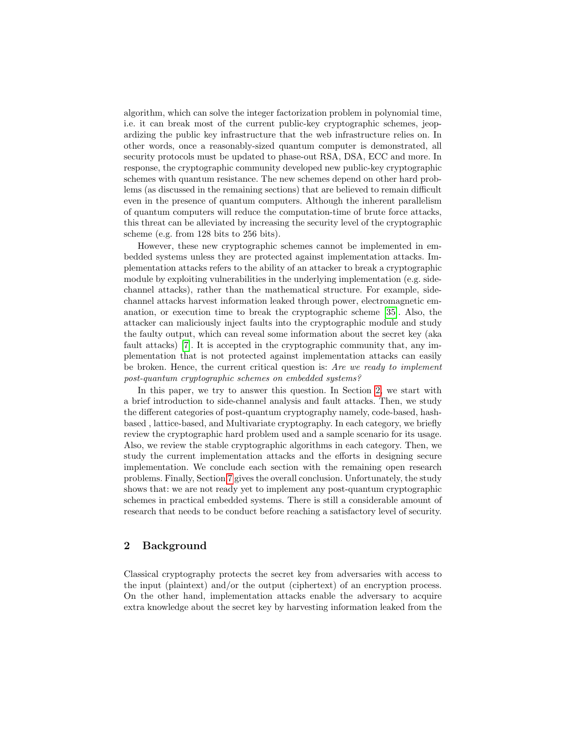algorithm, which can solve the integer factorization problem in polynomial time, i.e. it can break most of the current public-key cryptographic schemes, jeopardizing the public key infrastructure that the web infrastructure relies on. In other words, once a reasonably-sized quantum computer is demonstrated, all security protocols must be updated to phase-out RSA, DSA, ECC and more. In response, the cryptographic community developed new public-key cryptographic schemes with quantum resistance. The new schemes depend on other hard problems (as discussed in the remaining sections) that are believed to remain difficult even in the presence of quantum computers. Although the inherent parallelism of quantum computers will reduce the computation-time of brute force attacks, this threat can be alleviated by increasing the security level of the cryptographic scheme (e.g. from 128 bits to 256 bits).

However, these new cryptographic schemes cannot be implemented in embedded systems unless they are protected against implementation attacks. Implementation attacks refers to the ability of an attacker to break a cryptographic module by exploiting vulnerabilities in the underlying implementation (e.g. sidechannel attacks), rather than the mathematical structure. For example, sidechannel attacks harvest information leaked through power, electromagnetic emanation, or execution time to break the cryptographic scheme [\[35\]](#page-11-1). Also, the attacker can maliciously inject faults into the cryptographic module and study the faulty output, which can reveal some information about the secret key (aka fault attacks) [\[7\]](#page-10-0). It is accepted in the cryptographic community that, any implementation that is not protected against implementation attacks can easily be broken. Hence, the current critical question is: Are we ready to implement post-quantum cryptographic schemes on embedded systems?

In this paper, we try to answer this question. In Section [2,](#page-1-0) we start with a brief introduction to side-channel analysis and fault attacks. Then, we study the different categories of post-quantum cryptography namely, code-based, hashbased , lattice-based, and Multivariate cryptography. In each category, we briefly review the cryptographic hard problem used and a sample scenario for its usage. Also, we review the stable cryptographic algorithms in each category. Then, we study the current implementation attacks and the efforts in designing secure implementation. We conclude each section with the remaining open research problems. Finally, Section [7](#page-9-1) gives the overall conclusion. Unfortunately, the study shows that: we are not ready yet to implement any post-quantum cryptographic schemes in practical embedded systems. There is still a considerable amount of research that needs to be conduct before reaching a satisfactory level of security.

### <span id="page-1-0"></span>2 Background

Classical cryptography protects the secret key from adversaries with access to the input (plaintext) and/or the output (ciphertext) of an encryption process. On the other hand, implementation attacks enable the adversary to acquire extra knowledge about the secret key by harvesting information leaked from the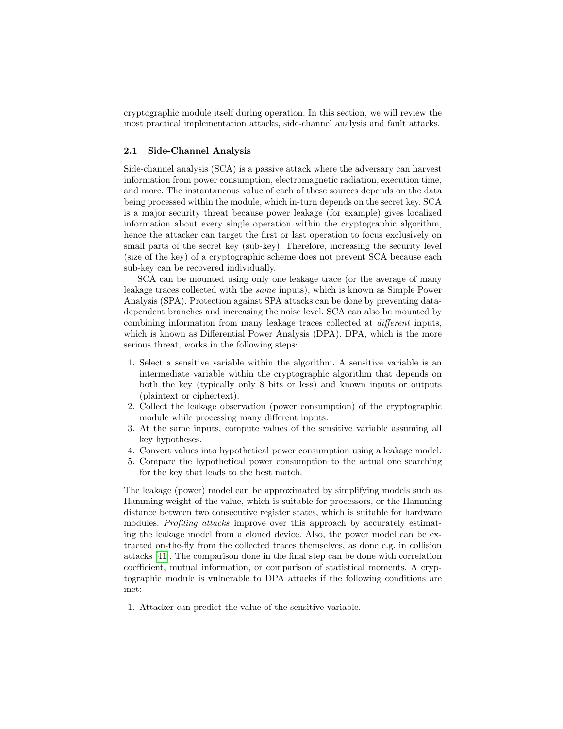cryptographic module itself during operation. In this section, we will review the most practical implementation attacks, side-channel analysis and fault attacks.

#### 2.1 Side-Channel Analysis

Side-channel analysis (SCA) is a passive attack where the adversary can harvest information from power consumption, electromagnetic radiation, execution time, and more. The instantaneous value of each of these sources depends on the data being processed within the module, which in-turn depends on the secret key. SCA is a major security threat because power leakage (for example) gives localized information about every single operation within the cryptographic algorithm, hence the attacker can target the first or last operation to focus exclusively on small parts of the secret key (sub-key). Therefore, increasing the security level (size of the key) of a cryptographic scheme does not prevent SCA because each sub-key can be recovered individually.

SCA can be mounted using only one leakage trace (or the average of many leakage traces collected with the same inputs), which is known as Simple Power Analysis (SPA). Protection against SPA attacks can be done by preventing datadependent branches and increasing the noise level. SCA can also be mounted by combining information from many leakage traces collected at different inputs, which is known as Differential Power Analysis (DPA). DPA, which is the more serious threat, works in the following steps:

- 1. Select a sensitive variable within the algorithm. A sensitive variable is an intermediate variable within the cryptographic algorithm that depends on both the key (typically only 8 bits or less) and known inputs or outputs (plaintext or ciphertext).
- 2. Collect the leakage observation (power consumption) of the cryptographic module while processing many different inputs.
- 3. At the same inputs, compute values of the sensitive variable assuming all key hypotheses.
- 4. Convert values into hypothetical power consumption using a leakage model.
- 5. Compare the hypothetical power consumption to the actual one searching for the key that leads to the best match.

The leakage (power) model can be approximated by simplifying models such as Hamming weight of the value, which is suitable for processors, or the Hamming distance between two consecutive register states, which is suitable for hardware modules. Profiling attacks improve over this approach by accurately estimating the leakage model from a cloned device. Also, the power model can be extracted on-the-fly from the collected traces themselves, as done e.g. in collision attacks [\[41\]](#page-12-0). The comparison done in the final step can be done with correlation coefficient, mutual information, or comparison of statistical moments. A cryptographic module is vulnerable to DPA attacks if the following conditions are met:

1. Attacker can predict the value of the sensitive variable.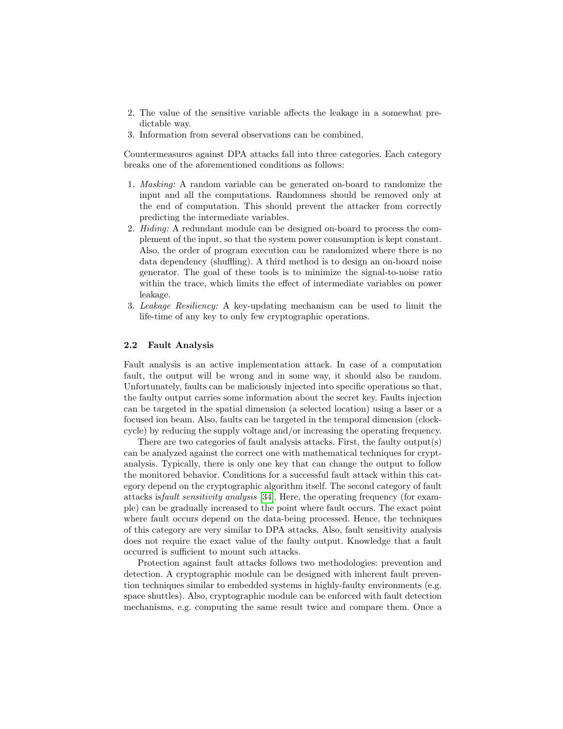- 2. The value of the sensitive variable affects the leakage in a somewhat predictable way.
- 3. Information from several observations can be combined.

Countermeasures against DPA attacks fall into three categories. Each category breaks one of the aforementioned conditions as follows:

- 1. Masking: A random variable can be generated on-board to randomize the input and all the computations. Randomness should be removed only at the end of computation. This should prevent the attacker from correctly predicting the intermediate variables.
- 2. Hiding: A redundant module can be designed on-board to process the complement of the input, so that the system power consumption is kept constant. Also, the order of program execution can be randomized where there is no data dependency (shuffling). A third method is to design an on-board noise generator. The goal of these tools is to minimize the signal-to-noise ratio within the trace, which limits the effect of intermediate variables on power leakage.
- 3. Leakage Resiliency: A key-updating mechanism can be used to limit the life-time of any key to only few cryptographic operations.

#### 2.2 Fault Analysis

Fault analysis is an active implementation attack. In case of a computation fault, the output will be wrong and in some way, it should also be random. Unfortunately, faults can be maliciously injected into specific operations so that, the faulty output carries some information about the secret key. Faults injection can be targeted in the spatial dimension (a selected location) using a laser or a focused ion beam. Also, faults can be targeted in the temporal dimension (clockcycle) by reducing the supply voltage and/or increasing the operating frequency.

There are two categories of fault analysis attacks. First, the faulty output(s) can be analyzed against the correct one with mathematical techniques for cryptanalysis. Typically, there is only one key that can change the output to follow the monitored behavior. Conditions for a successful fault attack within this category depend on the cryptographic algorithm itself. The second category of fault attacks isfault sensitivity analysis [\[34\]](#page-11-2). Here, the operating frequency (for example) can be gradually increased to the point where fault occurs. The exact point where fault occurs depend on the data-being processed. Hence, the techniques of this category are very similar to DPA attacks. Also, fault sensitivity analysis does not require the exact value of the faulty output. Knowledge that a fault occurred is sufficient to mount such attacks.

Protection against fault attacks follows two methodologies: prevention and detection. A cryptographic module can be designed with inherent fault prevention techniques similar to embedded systems in highly-faulty environments (e.g. space shuttles). Also, cryptographic module can be enforced with fault detection mechanisms, e.g. computing the same result twice and compare them. Once a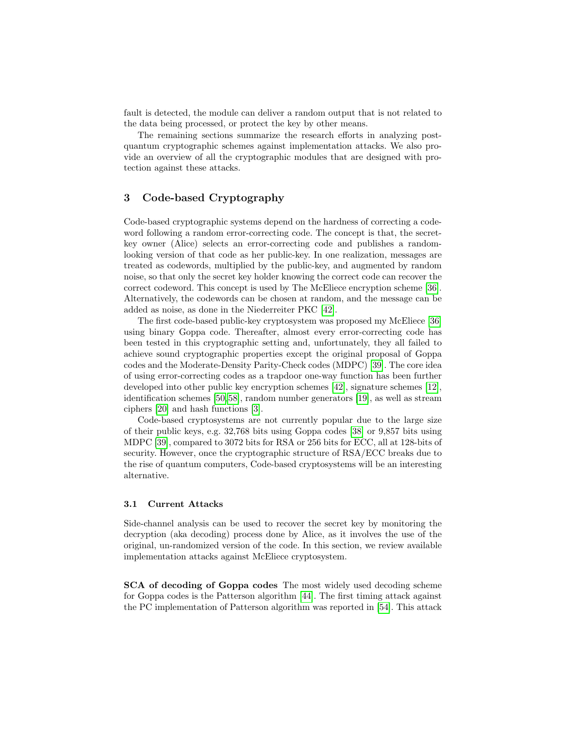fault is detected, the module can deliver a random output that is not related to the data being processed, or protect the key by other means.

The remaining sections summarize the research efforts in analyzing postquantum cryptographic schemes against implementation attacks. We also provide an overview of all the cryptographic modules that are designed with protection against these attacks.

## 3 Code-based Cryptography

Code-based cryptographic systems depend on the hardness of correcting a codeword following a random error-correcting code. The concept is that, the secretkey owner (Alice) selects an error-correcting code and publishes a randomlooking version of that code as her public-key. In one realization, messages are treated as codewords, multiplied by the public-key, and augmented by random noise, so that only the secret key holder knowing the correct code can recover the correct codeword. This concept is used by The McEliece encryption scheme [\[36\]](#page-11-3). Alternatively, the codewords can be chosen at random, and the message can be added as noise, as done in the Niederreiter PKC [\[42\]](#page-12-1).

The first code-based public-key cryptosystem was proposed my McEliece [\[36\]](#page-11-3) using binary Goppa code. Thereafter, almost every error-correcting code has been tested in this cryptographic setting and, unfortunately, they all failed to achieve sound cryptographic properties except the original proposal of Goppa codes and the Moderate-Density Parity-Check codes (MDPC) [\[39\]](#page-11-4). The core idea of using error-correcting codes as a trapdoor one-way function has been further developed into other public key encryption schemes [\[42\]](#page-12-1), signature schemes [\[12\]](#page-10-1), identification schemes [\[50,](#page-12-2)[58\]](#page-12-3), random number generators [\[19\]](#page-10-2), as well as stream ciphers [\[20\]](#page-10-3) and hash functions [\[3\]](#page-9-2).

Code-based cryptosystems are not currently popular due to the large size of their public keys, e.g. 32,768 bits using Goppa codes [\[38\]](#page-11-5) or 9,857 bits using MDPC [\[39\]](#page-11-4), compared to 3072 bits for RSA or 256 bits for ECC, all at 128-bits of security. However, once the cryptographic structure of RSA/ECC breaks due to the rise of quantum computers, Code-based cryptosystems will be an interesting alternative.

#### 3.1 Current Attacks

Side-channel analysis can be used to recover the secret key by monitoring the decryption (aka decoding) process done by Alice, as it involves the use of the original, un-randomized version of the code. In this section, we review available implementation attacks against McEliece cryptosystem.

SCA of decoding of Goppa codes The most widely used decoding scheme for Goppa codes is the Patterson algorithm [\[44\]](#page-12-4). The first timing attack against the PC implementation of Patterson algorithm was reported in [\[54\]](#page-12-5). This attack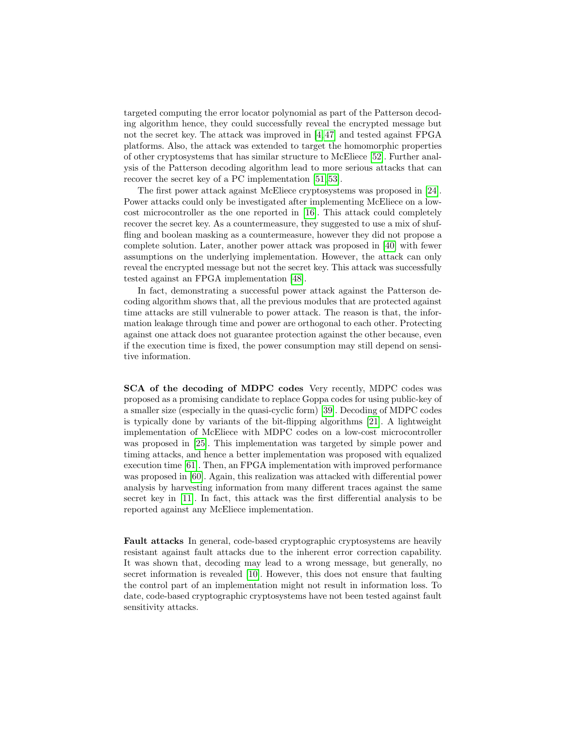targeted computing the error locator polynomial as part of the Patterson decoding algorithm hence, they could successfully reveal the encrypted message but not the secret key. The attack was improved in [\[4,](#page-10-4) [47\]](#page-12-6) and tested against FPGA platforms. Also, the attack was extended to target the homomorphic properties of other cryptosystems that has similar structure to McEliece [\[52\]](#page-12-7). Further analysis of the Patterson decoding algorithm lead to more serious attacks that can recover the secret key of a PC implementation [\[51,](#page-12-8) [53\]](#page-12-9).

The first power attack against McEliece cryptosystems was proposed in [\[24\]](#page-11-6). Power attacks could only be investigated after implementing McEliece on a lowcost microcontroller as the one reported in [\[16\]](#page-10-5). This attack could completely recover the secret key. As a countermeasure, they suggested to use a mix of shuffling and boolean masking as a countermeasure, however they did not propose a complete solution. Later, another power attack was proposed in [\[40\]](#page-11-7) with fewer assumptions on the underlying implementation. However, the attack can only reveal the encrypted message but not the secret key. This attack was successfully tested against an FPGA implementation [\[48\]](#page-12-10).

In fact, demonstrating a successful power attack against the Patterson decoding algorithm shows that, all the previous modules that are protected against time attacks are still vulnerable to power attack. The reason is that, the information leakage through time and power are orthogonal to each other. Protecting against one attack does not guarantee protection against the other because, even if the execution time is fixed, the power consumption may still depend on sensitive information.

SCA of the decoding of MDPC codes Very recently, MDPC codes was proposed as a promising candidate to replace Goppa codes for using public-key of a smaller size (especially in the quasi-cyclic form) [\[39\]](#page-11-4). Decoding of MDPC codes is typically done by variants of the bit-flipping algorithms [\[21\]](#page-10-6). A lightweight implementation of McEliece with MDPC codes on a low-cost microcontroller was proposed in [\[25\]](#page-11-8). This implementation was targeted by simple power and timing attacks, and hence a better implementation was proposed with equalized execution time [\[61\]](#page-13-0). Then, an FPGA implementation with improved performance was proposed in [\[60\]](#page-13-1). Again, this realization was attacked with differential power analysis by harvesting information from many different traces against the same secret key in [\[11\]](#page-10-7). In fact, this attack was the first differential analysis to be reported against any McEliece implementation.

Fault attacks In general, code-based cryptographic cryptosystems are heavily resistant against fault attacks due to the inherent error correction capability. It was shown that, decoding may lead to a wrong message, but generally, no secret information is revealed [\[10\]](#page-10-8). However, this does not ensure that faulting the control part of an implementation might not result in information loss. To date, code-based cryptographic cryptosystems have not been tested against fault sensitivity attacks.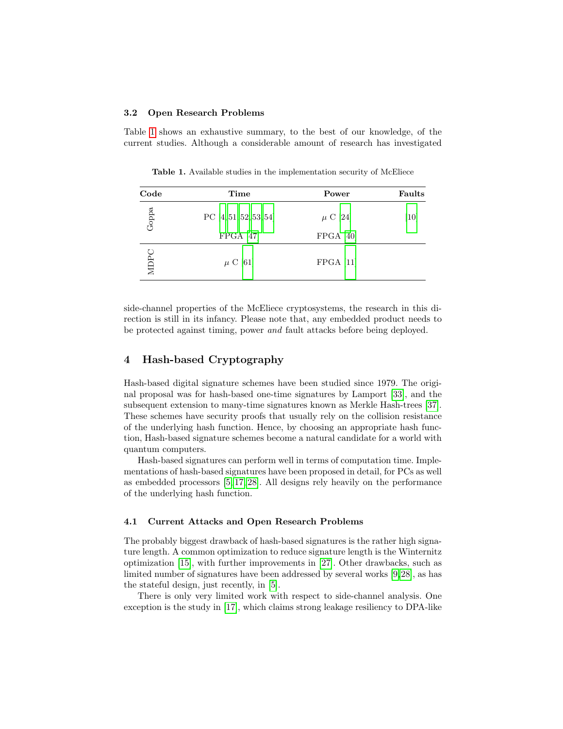#### 3.2 Open Research Problems

Table [1](#page-6-0) shows an exhaustive summary, to the best of our knowledge, of the current studies. Although a considerable amount of research has investigated

<span id="page-6-0"></span>Table 1. Available studies in the implementation security of McEliece

| Code  | Time                     | Power        | Faults |
|-------|--------------------------|--------------|--------|
| Goppa | PC $[4, 51, 52, 53, 54]$ | $\mu$ C [24] | [10]   |
|       | FPGA [47]                | FPGA [40]    |        |
| MDPC  | $\mu$ C [61]             | FPGA [11]    |        |

side-channel properties of the McEliece cryptosystems, the research in this direction is still in its infancy. Please note that, any embedded product needs to be protected against timing, power and fault attacks before being deployed.

## 4 Hash-based Cryptography

Hash-based digital signature schemes have been studied since 1979. The original proposal was for hash-based one-time signatures by Lamport [\[33\]](#page-11-9), and the subsequent extension to many-time signatures known as Merkle Hash-trees [\[37\]](#page-11-10). These schemes have security proofs that usually rely on the collision resistance of the underlying hash function. Hence, by choosing an appropriate hash function, Hash-based signature schemes become a natural candidate for a world with quantum computers.

Hash-based signatures can perform well in terms of computation time. Implementations of hash-based signatures have been proposed in detail, for PCs as well as embedded processors [\[5,](#page-10-9) [17,](#page-10-10) [28\]](#page-11-11). All designs rely heavily on the performance of the underlying hash function.

#### 4.1 Current Attacks and Open Research Problems

The probably biggest drawback of hash-based signatures is the rather high signature length. A common optimization to reduce signature length is the Winternitz optimization [\[15\]](#page-10-11), with further improvements in [\[27\]](#page-11-12). Other drawbacks, such as limited number of signatures have been addressed by several works [\[9,](#page-10-12)[28\]](#page-11-11), as has the stateful design, just recently, in [\[5\]](#page-10-9).

There is only very limited work with respect to side-channel analysis. One exception is the study in [\[17\]](#page-10-10), which claims strong leakage resiliency to DPA-like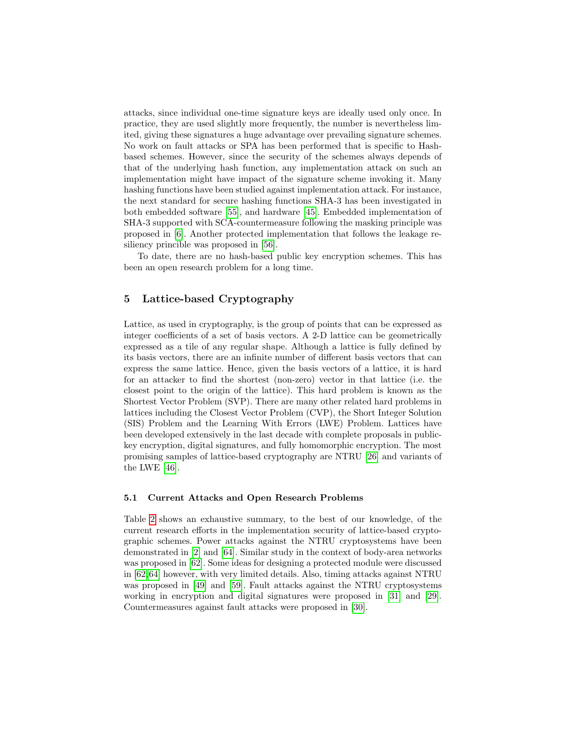attacks, since individual one-time signature keys are ideally used only once. In practice, they are used slightly more frequently, the number is nevertheless limited, giving these signatures a huge advantage over prevailing signature schemes. No work on fault attacks or SPA has been performed that is specific to Hashbased schemes. However, since the security of the schemes always depends of that of the underlying hash function, any implementation attack on such an implementation might have impact of the signature scheme invoking it. Many hashing functions have been studied against implementation attack. For instance, the next standard for secure hashing functions SHA-3 has been investigated in both embedded software [\[55\]](#page-12-11), and hardware [\[45\]](#page-12-12). Embedded implementation of SHA-3 supported with SCA-countermeasure following the masking principle was proposed in [\[6\]](#page-10-13). Another protected implementation that follows the leakage resiliency princible was proposed in [\[56\]](#page-12-13).

To date, there are no hash-based public key encryption schemes. This has been an open research problem for a long time.

# 5 Lattice-based Cryptography

Lattice, as used in cryptography, is the group of points that can be expressed as integer coefficients of a set of basis vectors. A 2-D lattice can be geometrically expressed as a tile of any regular shape. Although a lattice is fully defined by its basis vectors, there are an infinite number of different basis vectors that can express the same lattice. Hence, given the basis vectors of a lattice, it is hard for an attacker to find the shortest (non-zero) vector in that lattice (i.e. the closest point to the origin of the lattice). This hard problem is known as the Shortest Vector Problem (SVP). There are many other related hard problems in lattices including the Closest Vector Problem (CVP), the Short Integer Solution (SIS) Problem and the Learning With Errors (LWE) Problem. Lattices have been developed extensively in the last decade with complete proposals in publickey encryption, digital signatures, and fully homomorphic encryption. The most promising samples of lattice-based cryptography are NTRU [\[26\]](#page-11-13) and variants of the LWE [\[46\]](#page-12-14).

#### 5.1 Current Attacks and Open Research Problems

Table [2](#page-8-0) shows an exhaustive summary, to the best of our knowledge, of the current research efforts in the implementation security of lattice-based cryptographic schemes. Power attacks against the NTRU cryptosystems have been demonstrated in [\[2\]](#page-9-3) and [\[64\]](#page-13-2). Similar study in the context of body-area networks was proposed in [\[62\]](#page-13-3). Some ideas for designing a protected module were discussed in [\[62,](#page-13-3)[64\]](#page-13-2) however, with very limited details. Also, timing attacks against NTRU was proposed in [\[49\]](#page-12-15) and [\[59\]](#page-13-4). Fault attacks against the NTRU cryptosystems working in encryption and digital signatures were proposed in [\[31\]](#page-11-14) and [\[29\]](#page-11-15). Countermeasures against fault attacks were proposed in [\[30\]](#page-11-16).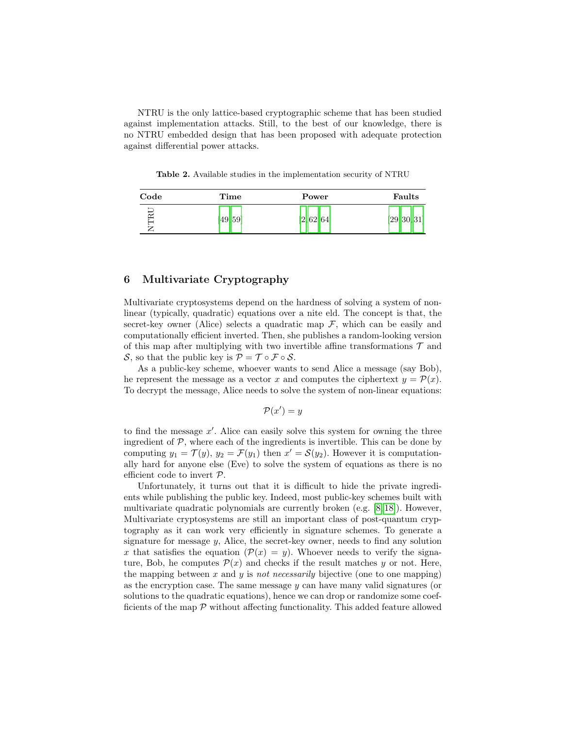NTRU is the only lattice-based cryptographic scheme that has been studied against implementation attacks. Still, to the best of our knowledge, there is no NTRU embedded design that has been proposed with adequate protection against differential power attacks.

<span id="page-8-0"></span>Table 2. Available studies in the implementation security of NTRU

| Code | Time     | Power       | Faults       |
|------|----------|-------------|--------------|
| RU   | [49, 59] | [2, 62, 64] | [29, 30, 31] |

### 6 Multivariate Cryptography

Multivariate cryptosystems depend on the hardness of solving a system of nonlinear (typically, quadratic) equations over a nite eld. The concept is that, the secret-key owner (Alice) selects a quadratic map  $\mathcal{F}$ , which can be easily and computationally efficient inverted. Then, she publishes a random-looking version of this map after multiplying with two invertible affine transformations  $\mathcal T$  and S, so that the public key is  $\mathcal{P} = \mathcal{T} \circ \mathcal{F} \circ \mathcal{S}$ .

As a public-key scheme, whoever wants to send Alice a message (say Bob), he represent the message as a vector x and computes the ciphertext  $y = \mathcal{P}(x)$ . To decrypt the message, Alice needs to solve the system of non-linear equations:

$$
\mathcal{P}(x') = y
$$

to find the message  $x'$ . Alice can easily solve this system for owning the three ingredient of  $P$ , where each of the ingredients is invertible. This can be done by computing  $y_1 = \mathcal{T}(y)$ ,  $y_2 = \mathcal{F}(y_1)$  then  $x' = \mathcal{S}(y_2)$ . However it is computationally hard for anyone else (Eve) to solve the system of equations as there is no efficient code to invert P.

Unfortunately, it turns out that it is difficult to hide the private ingredients while publishing the public key. Indeed, most public-key schemes built with multivariate quadratic polynomials are currently broken (e.g. [\[8,](#page-10-14) [18\]](#page-10-15)). However, Multivariate cryptosystems are still an important class of post-quantum cryptography as it can work very efficiently in signature schemes. To generate a signature for message  $y$ , Alice, the secret-key owner, needs to find any solution x that satisfies the equation  $(\mathcal{P}(x) = y)$ . Whoever needs to verify the signature, Bob, he computes  $\mathcal{P}(x)$  and checks if the result matches y or not. Here, the mapping between  $x$  and  $y$  is not necessarily bijective (one to one mapping) as the encryption case. The same message  $y$  can have many valid signatures (or solutions to the quadratic equations), hence we can drop or randomize some coefficients of the map  $\mathcal P$  without affecting functionality. This added feature allowed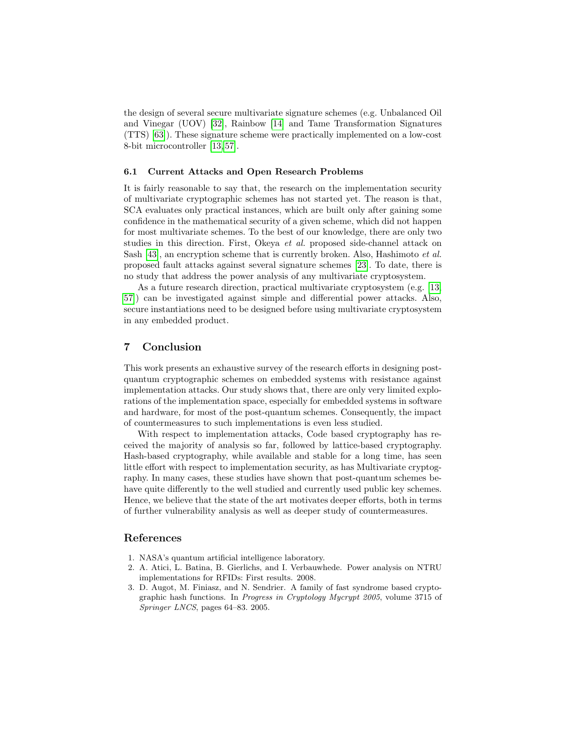the design of several secure multivariate signature schemes (e.g. Unbalanced Oil and Vinegar (UOV) [\[32\]](#page-11-17), Rainbow [\[14\]](#page-10-16) and Tame Transformation Signatures (TTS) [\[63\]](#page-13-5)). These signature scheme were practically implemented on a low-cost 8-bit microcontroller [\[13,](#page-10-17) [57\]](#page-12-16).

#### 6.1 Current Attacks and Open Research Problems

It is fairly reasonable to say that, the research on the implementation security of multivariate cryptographic schemes has not started yet. The reason is that, SCA evaluates only practical instances, which are built only after gaining some confidence in the mathematical security of a given scheme, which did not happen for most multivariate schemes. To the best of our knowledge, there are only two studies in this direction. First, Okeya et al. proposed side-channel attack on Sash [\[43\]](#page-12-17), an encryption scheme that is currently broken. Also, Hashimoto et al. proposed fault attacks against several signature schemes [\[23\]](#page-11-18). To date, there is no study that address the power analysis of any multivariate cryptosystem.

As a future research direction, practical multivariate cryptosystem (e.g. [\[13,](#page-10-17) [57\]](#page-12-16)) can be investigated against simple and differential power attacks. Also, secure instantiations need to be designed before using multivariate cryptosystem in any embedded product.

## <span id="page-9-1"></span>7 Conclusion

This work presents an exhaustive survey of the research efforts in designing postquantum cryptographic schemes on embedded systems with resistance against implementation attacks. Our study shows that, there are only very limited explorations of the implementation space, especially for embedded systems in software and hardware, for most of the post-quantum schemes. Consequently, the impact of countermeasures to such implementations is even less studied.

With respect to implementation attacks, Code based cryptography has received the majority of analysis so far, followed by lattice-based cryptography. Hash-based cryptography, while available and stable for a long time, has seen little effort with respect to implementation security, as has Multivariate cryptography. In many cases, these studies have shown that post-quantum schemes behave quite differently to the well studied and currently used public key schemes. Hence, we believe that the state of the art motivates deeper efforts, both in terms of further vulnerability analysis as well as deeper study of countermeasures.

### References

- <span id="page-9-0"></span>1. NASA's quantum artificial intelligence laboratory.
- <span id="page-9-3"></span>2. A. Atici, L. Batina, B. Gierlichs, and I. Verbauwhede. Power analysis on NTRU implementations for RFIDs: First results. 2008.
- <span id="page-9-2"></span>3. D. Augot, M. Finiasz, and N. Sendrier. A family of fast syndrome based cryptographic hash functions. In Progress in Cryptology Mycrypt 2005, volume 3715 of Springer LNCS, pages 64–83. 2005.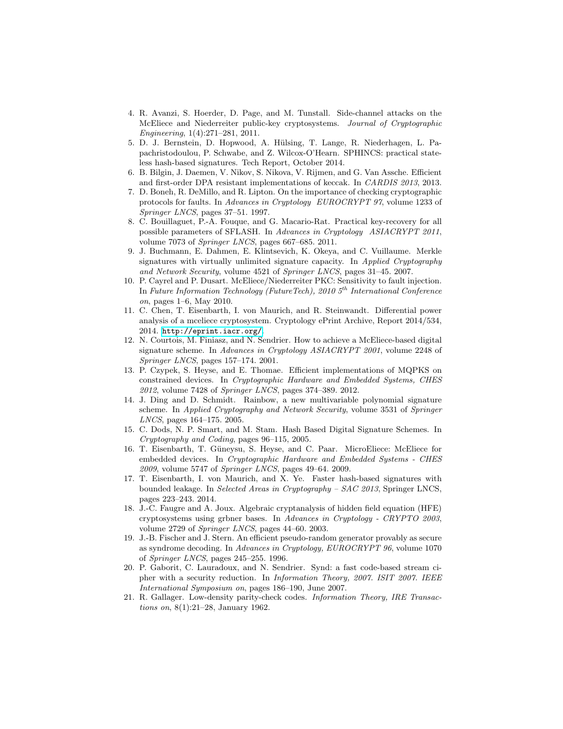- <span id="page-10-4"></span>4. R. Avanzi, S. Hoerder, D. Page, and M. Tunstall. Side-channel attacks on the McEliece and Niederreiter public-key cryptosystems. Journal of Cryptographic Engineering, 1(4):271–281, 2011.
- <span id="page-10-9"></span>5. D. J. Bernstein, D. Hopwood, A. Hülsing, T. Lange, R. Niederhagen, L. Papachristodoulou, P. Schwabe, and Z. Wilcox-O'Hearn. SPHINCS: practical stateless hash-based signatures. Tech Report, October 2014.
- <span id="page-10-13"></span>6. B. Bilgin, J. Daemen, V. Nikov, S. Nikova, V. Rijmen, and G. Van Assche. Efficient and first-order DPA resistant implementations of keccak. In CARDIS 2013, 2013.
- <span id="page-10-0"></span>7. D. Boneh, R. DeMillo, and R. Lipton. On the importance of checking cryptographic protocols for faults. In Advances in Cryptology EUROCRYPT 97, volume 1233 of Springer LNCS, pages 37–51. 1997.
- <span id="page-10-14"></span>8. C. Bouillaguet, P.-A. Fouque, and G. Macario-Rat. Practical key-recovery for all possible parameters of SFLASH. In Advances in Cryptology ASIACRYPT 2011, volume 7073 of Springer LNCS, pages 667–685. 2011.
- <span id="page-10-12"></span>9. J. Buchmann, E. Dahmen, E. Klintsevich, K. Okeya, and C. Vuillaume. Merkle signatures with virtually unlimited signature capacity. In Applied Cryptography and Network Security, volume 4521 of Springer LNCS, pages 31–45. 2007.
- <span id="page-10-8"></span>10. P. Cayrel and P. Dusart. McEliece/Niederreiter PKC: Sensitivity to fault injection. In Future Information Technology (FutureTech), 2010  $5<sup>th</sup>$  International Conference on, pages 1–6, May 2010.
- <span id="page-10-7"></span>11. C. Chen, T. Eisenbarth, I. von Maurich, and R. Steinwandt. Differential power analysis of a mceliece cryptosystem. Cryptology ePrint Archive, Report 2014/534, 2014. <http://eprint.iacr.org/>.
- <span id="page-10-1"></span>12. N. Courtois, M. Finiasz, and N. Sendrier. How to achieve a McEliece-based digital signature scheme. In Advances in Cryptology ASIACRYPT 2001, volume 2248 of Springer LNCS, pages 157–174. 2001.
- <span id="page-10-17"></span>13. P. Czypek, S. Heyse, and E. Thomae. Efficient implementations of MQPKS on constrained devices. In Cryptographic Hardware and Embedded Systems, CHES 2012, volume 7428 of Springer LNCS, pages 374–389. 2012.
- <span id="page-10-16"></span>14. J. Ding and D. Schmidt. Rainbow, a new multivariable polynomial signature scheme. In Applied Cryptography and Network Security, volume 3531 of Springer LNCS, pages 164–175. 2005.
- <span id="page-10-11"></span>15. C. Dods, N. P. Smart, and M. Stam. Hash Based Digital Signature Schemes. In Cryptography and Coding, pages 96–115, 2005.
- <span id="page-10-5"></span>16. T. Eisenbarth, T. Güneysu, S. Heyse, and C. Paar. MicroEliece: McEliece for embedded devices. In Cryptographic Hardware and Embedded Systems - CHES 2009, volume 5747 of Springer LNCS, pages 49–64. 2009.
- <span id="page-10-10"></span>17. T. Eisenbarth, I. von Maurich, and X. Ye. Faster hash-based signatures with bounded leakage. In Selected Areas in Cryptography – SAC 2013, Springer LNCS, pages 223–243. 2014.
- <span id="page-10-15"></span>18. J.-C. Faugre and A. Joux. Algebraic cryptanalysis of hidden field equation (HFE) cryptosystems using grbner bases. In Advances in Cryptology - CRYPTO 2003, volume 2729 of Springer LNCS, pages 44–60. 2003.
- <span id="page-10-2"></span>19. J.-B. Fischer and J. Stern. An efficient pseudo-random generator provably as secure as syndrome decoding. In Advances in Cryptology, EUROCRYPT 96, volume 1070 of Springer LNCS, pages 245–255. 1996.
- <span id="page-10-3"></span>20. P. Gaborit, C. Lauradoux, and N. Sendrier. Synd: a fast code-based stream cipher with a security reduction. In Information Theory, 2007. ISIT 2007. IEEE International Symposium on, pages 186–190, June 2007.
- <span id="page-10-6"></span>21. R. Gallager. Low-density parity-check codes. Information Theory, IRE Transactions on, 8(1):21–28, January 1962.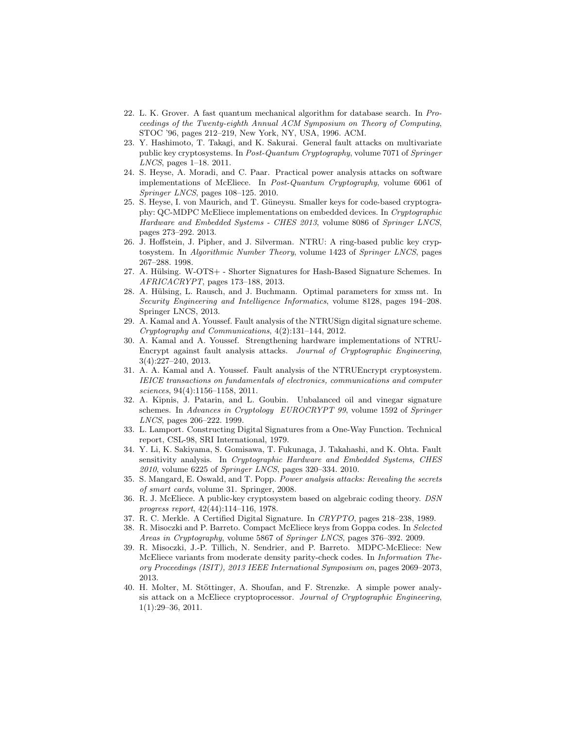- <span id="page-11-0"></span>22. L. K. Grover. A fast quantum mechanical algorithm for database search. In Proceedings of the Twenty-eighth Annual ACM Symposium on Theory of Computing, STOC '96, pages 212–219, New York, NY, USA, 1996. ACM.
- <span id="page-11-18"></span>23. Y. Hashimoto, T. Takagi, and K. Sakurai. General fault attacks on multivariate public key cryptosystems. In Post-Quantum Cryptography, volume 7071 of Springer LNCS, pages 1–18. 2011.
- <span id="page-11-6"></span>24. S. Heyse, A. Moradi, and C. Paar. Practical power analysis attacks on software implementations of McEliece. In Post-Quantum Cryptography, volume 6061 of Springer LNCS, pages 108–125. 2010.
- <span id="page-11-8"></span>25. S. Heyse, I. von Maurich, and T. Güneysu. Smaller keys for code-based cryptography: QC-MDPC McEliece implementations on embedded devices. In Cryptographic Hardware and Embedded Systems - CHES 2013, volume 8086 of Springer LNCS, pages 273–292. 2013.
- <span id="page-11-13"></span>26. J. Hoffstein, J. Pipher, and J. Silverman. NTRU: A ring-based public key cryptosystem. In Algorithmic Number Theory, volume 1423 of Springer LNCS, pages 267–288. 1998.
- <span id="page-11-12"></span>27. A. Hülsing. W-OTS+ - Shorter Signatures for Hash-Based Signature Schemes. In AFRICACRYPT, pages 173–188, 2013.
- <span id="page-11-11"></span>28. A. Hülsing, L. Rausch, and J. Buchmann. Optimal parameters for xmss mt. In Security Engineering and Intelligence Informatics, volume 8128, pages 194–208. Springer LNCS, 2013.
- <span id="page-11-15"></span>29. A. Kamal and A. Youssef. Fault analysis of the NTRUSign digital signature scheme. Cryptography and Communications, 4(2):131–144, 2012.
- <span id="page-11-16"></span>30. A. Kamal and A. Youssef. Strengthening hardware implementations of NTRU-Encrypt against fault analysis attacks. Journal of Cryptographic Engineering, 3(4):227–240, 2013.
- <span id="page-11-14"></span>31. A. A. Kamal and A. Youssef. Fault analysis of the NTRUEncrypt cryptosystem. IEICE transactions on fundamentals of electronics, communications and computer sciences, 94(4):1156–1158, 2011.
- <span id="page-11-17"></span>32. A. Kipnis, J. Patarin, and L. Goubin. Unbalanced oil and vinegar signature schemes. In Advances in Cryptology EUROCRYPT 99, volume 1592 of Springer LNCS, pages 206–222. 1999.
- <span id="page-11-9"></span>33. L. Lamport. Constructing Digital Signatures from a One-Way Function. Technical report, CSL-98, SRI International, 1979.
- <span id="page-11-2"></span>34. Y. Li, K. Sakiyama, S. Gomisawa, T. Fukunaga, J. Takahashi, and K. Ohta. Fault sensitivity analysis. In Cryptographic Hardware and Embedded Systems, CHES 2010, volume 6225 of Springer LNCS, pages 320–334. 2010.
- <span id="page-11-1"></span>35. S. Mangard, E. Oswald, and T. Popp. Power analysis attacks: Revealing the secrets of smart cards, volume 31. Springer, 2008.
- <span id="page-11-3"></span>36. R. J. McEliece. A public-key cryptosystem based on algebraic coding theory. DSN progress report, 42(44):114–116, 1978.
- <span id="page-11-10"></span>37. R. C. Merkle. A Certified Digital Signature. In CRYPTO, pages 218–238, 1989.
- <span id="page-11-5"></span>38. R. Misoczki and P. Barreto. Compact McEliece keys from Goppa codes. In Selected Areas in Cryptography, volume 5867 of Springer LNCS, pages 376–392. 2009.
- <span id="page-11-4"></span>39. R. Misoczki, J.-P. Tillich, N. Sendrier, and P. Barreto. MDPC-McEliece: New McEliece variants from moderate density parity-check codes. In Information Theory Proceedings (ISIT), 2013 IEEE International Symposium on, pages 2069–2073, 2013.
- <span id="page-11-7"></span>40. H. Molter, M. Stöttinger, A. Shoufan, and F. Strenzke. A simple power analysis attack on a McEliece cryptoprocessor. Journal of Cryptographic Engineering, 1(1):29–36, 2011.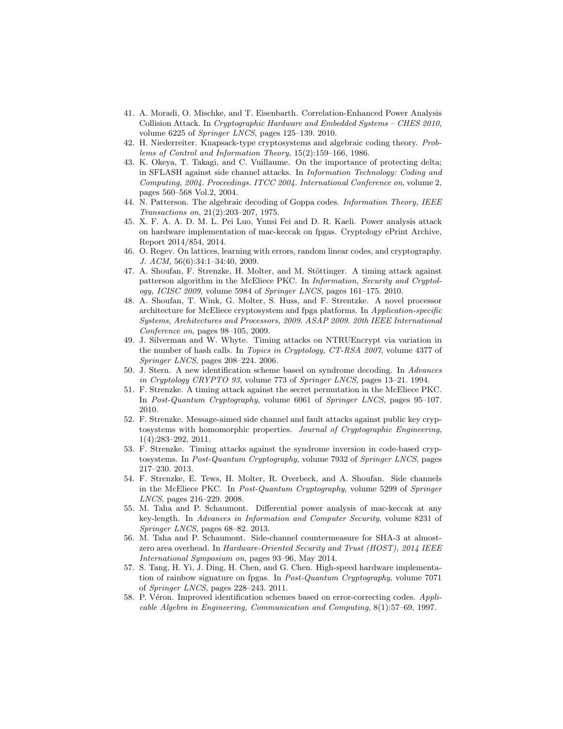- <span id="page-12-0"></span>41. A. Moradi, O. Mischke, and T. Eisenbarth. Correlation-Enhanced Power Analysis Collision Attack. In Cryptographic Hardware and Embedded Systems – CHES 2010, volume 6225 of Springer LNCS, pages 125–139. 2010.
- <span id="page-12-1"></span>42. H. Niederreiter. Knapsack-type cryptosystems and algebraic coding theory. Problems of Control and Information Theory, 15(2):159–166, 1986.
- <span id="page-12-17"></span>43. K. Okeya, T. Takagi, and C. Vuillaume. On the importance of protecting delta; in SFLASH against side channel attacks. In Information Technology: Coding and Computing, 2004. Proceedings. ITCC 2004. International Conference on, volume 2, pages 560–568 Vol.2, 2004.
- <span id="page-12-4"></span>44. N. Patterson. The algebraic decoding of Goppa codes. Information Theory, IEEE Transactions on, 21(2):203–207, 1975.
- <span id="page-12-12"></span>45. X. F. A. A. D. M. L. Pei Luo, Yunsi Fei and D. R. Kaeli. Power analysis attack on hardware implementation of mac-keccak on fpgas. Cryptology ePrint Archive, Report 2014/854, 2014.
- <span id="page-12-14"></span>46. O. Regev. On lattices, learning with errors, random linear codes, and cryptography. J. ACM, 56(6):34:1–34:40, 2009.
- <span id="page-12-6"></span>47. A. Shoufan, F. Strenzke, H. Molter, and M. Stöttinger. A timing attack against patterson algorithm in the McEliece PKC. In Information, Security and Cryptology, ICISC 2009, volume 5984 of Springer LNCS, pages  $161-175$ . 2010.
- <span id="page-12-10"></span>48. A. Shoufan, T. Wink, G. Molter, S. Huss, and F. Strentzke. A novel processor architecture for McEliece cryptosystem and fpga platforms. In Application-specific Systems, Architectures and Processors, 2009. ASAP 2009. 20th IEEE International Conference on, pages 98–105, 2009.
- <span id="page-12-15"></span>49. J. Silverman and W. Whyte. Timing attacks on NTRUEncrypt via variation in the number of hash calls. In Topics in Cryptology, CT-RSA 2007, volume 4377 of Springer LNCS, pages 208–224. 2006.
- <span id="page-12-2"></span>50. J. Stern. A new identification scheme based on syndrome decoding. In Advances in Cryptology CRYPTO 93, volume 773 of Springer LNCS, pages 13–21. 1994.
- <span id="page-12-8"></span>51. F. Strenzke. A timing attack against the secret permutation in the McEliece PKC. In Post-Quantum Cryptography, volume 6061 of Springer LNCS, pages 95–107. 2010.
- <span id="page-12-7"></span>52. F. Strenzke. Message-aimed side channel and fault attacks against public key cryptosystems with homomorphic properties. Journal of Cryptographic Engineering, 1(4):283–292, 2011.
- <span id="page-12-9"></span>53. F. Strenzke. Timing attacks against the syndrome inversion in code-based cryptosystems. In Post-Quantum Cryptography, volume 7932 of Springer LNCS, pages 217–230. 2013.
- <span id="page-12-5"></span>54. F. Strenzke, E. Tews, H. Molter, R. Overbeck, and A. Shoufan. Side channels in the McEliece PKC. In Post-Quantum Cryptography, volume 5299 of Springer LNCS, pages 216–229. 2008.
- <span id="page-12-11"></span>55. M. Taha and P. Schaumont. Differential power analysis of mac-keccak at any key-length. In Advances in Information and Computer Security, volume 8231 of Springer LNCS, pages 68–82. 2013.
- <span id="page-12-13"></span>56. M. Taha and P. Schaumont. Side-channel countermeasure for SHA-3 at almostzero area overhead. In Hardware-Oriented Security and Trust (HOST), 2014 IEEE International Symposium on, pages 93–96, May 2014.
- <span id="page-12-16"></span>57. S. Tang, H. Yi, J. Ding, H. Chen, and G. Chen. High-speed hardware implementation of rainbow signature on fpgas. In Post-Quantum Cryptography, volume 7071 of Springer LNCS, pages 228–243. 2011.
- <span id="page-12-3"></span>58. P. Véron. Improved identification schemes based on error-correcting codes. Applicable Algebra in Engineering, Communication and Computing, 8(1):57–69, 1997.